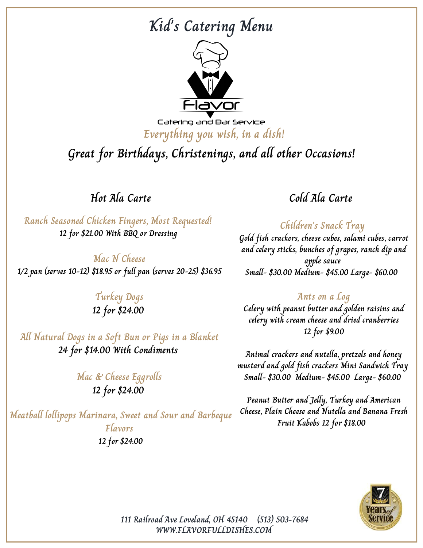## **Kid's Catering Menu**



Catering and Bar Service **Everything you wish, in a dish!**

**Great for Birthdays, Christenings, and all other Occasions!**

**Hot Ala Carte**

**Ranch Seasoned Chicken Fingers, Most Requested! 12 for \$21.00 With BBQ or Dressing**

**Mac N Cheese 1/2 pan (serves 10-12) \$18.95 or full pan (serves 20-25) \$36.95**

#### **Turkey Dogs 12 for \$24.00**

**All Natural Dogs in a Soft Bun or Pigs in a Blanket 24 for \$14.00 With Condiments**

> **Mac & Cheese Eggrolls 12 for \$24.00**

**Meatball lollipops Marinara, Sweet and Sour and Barbeque Flavors 12 for \$24.00**

### **Cold Ala Carte**

**Children's Snack Tray Gold fish crackers, cheese cubes, salami cubes, carrot and celery sticks, bunches of grapes, ranch dip and apple sauce Small- \$30.00 Medium- \$45.00 Large- \$60.00**

#### **Ants on a Log**

**Celery with peanut butter and golden raisins and celery with cream cheese and dried cranberries 12 for \$9.00**

**Animal crackers and nutella, pretzels and honey mustard and gold fish crackers Mini Sandwich Tray Small- \$30.00 Medium- \$45.00 Large- \$60.00**

**Peanut Butter and Jelly, Turkey and American Cheese, Plain Cheese and Nutella and Banana Fresh Fruit Kabobs 12 for \$18.00**



**WWW.FLAVORFULLDISHES.COM 111 Railroad Ave Loveland, OH 45140 (513) 503-7684**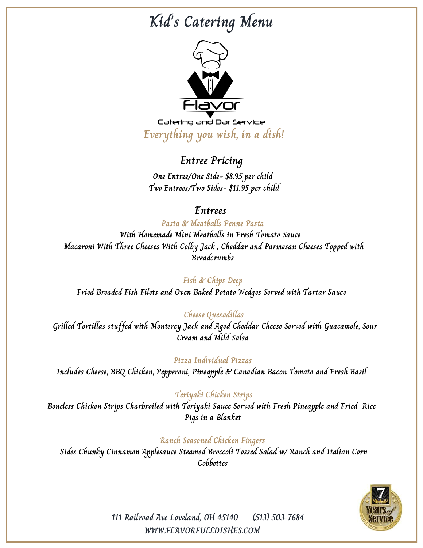# **Kid's Catering Menu**



Catering and Bar Service **Everything you wish, in a dish!**

### **Entree Pricing**

**One Entree/One Side- \$8.95 per child Two Entrees/Two Sides- \$11.95 per child**

### **Entrees**

**Pasta & Meatballs Penne Pasta With Homemade Mini Meatballs in Fresh Tomato Sauce Macaroni With Three Cheeses With Colby Jack , Cheddar and Parmesan Cheeses Topped with Breadcrumbs**

#### **Fish & Chips Deep**

**Fried Breaded Fish Filets and Oven Baked Potato Wedges Served with Tartar Sauce**

#### **Cheese Quesadillas**

**Grilled Tortillas stuffed with Monterey Jack and Aged Cheddar Cheese Served with Guacamole, Sour Cream and Mild Salsa**

#### **Pizza Individual Pizzas**

**Includes Cheese, BBQ Chicken, Pepperoni, Pineapple & Canadian Bacon Tomato and Fresh Basil**

#### **Teriyaki Chicken Strips**

**Boneless Chicken Strips Charbroiled with Teriyaki Sauce Served with Fresh Pineapple and Fried Rice Pigs in a Blanket**

#### **Ranch Seasoned Chicken Fingers**

**Sides Chunky Cinnamon Applesauce Steamed Broccoli Tossed Salad w/ Ranch and Italian Corn Cobbettes**



**WWW.FLAVORFULLDISHES.COM 111 Railroad Ave Loveland, OH 45140 (513) 503-7684**